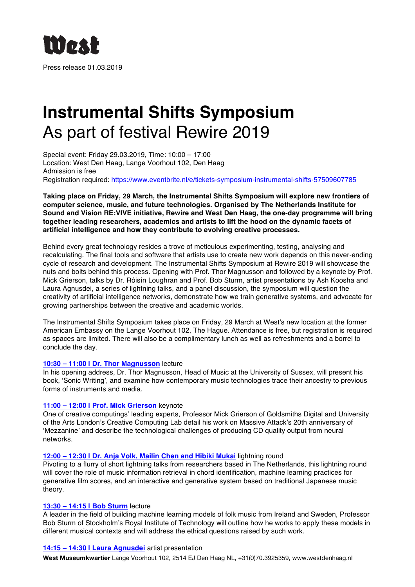

# **Instrumental Shifts Symposium** As part of festival Rewire 2019

Special event: Friday 29.03.2019, Time: 10:00 – 17:00 Location: West Den Haag, Lange Voorhout 102, Den Haag Admission is free Registration required: https://www.eventbrite.nl/e/tickets-symposium-instrumental-shifts-57509607785

**Taking place on Friday, 29 March, the Instrumental Shifts Symposium will explore new frontiers of computer science, music, and future technologies. Organised by The Netherlands Institute for Sound and Vision RE:VIVE initiative, Rewire and West Den Haag, the one-day programme will bring together leading researchers, academics and artists to lift the hood on the dynamic facets of artificial intelligence and how they contribute to evolving creative processes.**

Behind every great technology resides a trove of meticulous experimenting, testing, analysing and recalculating. The final tools and software that artists use to create new work depends on this never-ending cycle of research and development. The Instrumental Shifts Symposium at Rewire 2019 will showcase the nuts and bolts behind this process. Opening with Prof. Thor Magnusson and followed by a keynote by Prof. Mick Grierson, talks by Dr. Róisín Loughran and Prof. Bob Sturm, artist presentations by Ash Koosha and Laura Agnusdei, a series of lightning talks, and a panel discussion, the symposium will question the creativity of artificial intelligence networks, demonstrate how we train generative systems, and advocate for growing partnerships between the creative and academic worlds.

The Instrumental Shifts Symposium takes place on Friday, 29 March at West's new location at the former American Embassy on the Lange Voorhout 102, The Hague. Attendance is free, but registration is required as spaces are limited. There will also be a complimentary lunch as well as refreshments and a borrel to conclude the day.

# **10:30 – 11:00 | Dr. Thor Magnusson** lecture

In his opening address, Dr. Thor Magnusson, Head of Music at the University of Sussex, will present his book, 'Sonic Writing', and examine how contemporary music technologies trace their ancestry to previous forms of instruments and media.

# **11:00 – 12:00 | Prof. Mick Grierson** keynote

One of creative computings' leading experts, Professor Mick Grierson of Goldsmiths Digital and University of the Arts London's Creative Computing Lab detail his work on Massive Attack's 20th anniversary of 'Mezzanine' and describe the technological challenges of producing CD quality output from neural networks.

# **12:00 – 12:30 | Dr. Anja Volk, Mailin Chen and Hibiki Mukai** lightning round

Pivoting to a flurry of short lightning talks from researchers based in The Netherlands, this lightning round will cover the role of music information retrieval in chord identification, machine learning practices for generative film scores, and an interactive and generative system based on traditional Japanese music theory.

# **13:30 – 14:15 | Bob Sturm** lecture

A leader in the field of building machine learning models of folk music from Ireland and Sweden, Professor Bob Sturm of Stockholm's Royal Institute of Technology will outline how he works to apply these models in different musical contexts and will address the ethical questions raised by such work.

# **14:15 – 14:30 | Laura Agnusdei** artist presentation

**West Museumkwartier** Lange Voorhout 102, 2514 EJ Den Haag NL, +31(0)70.3925359, www.westdenhaag.nl